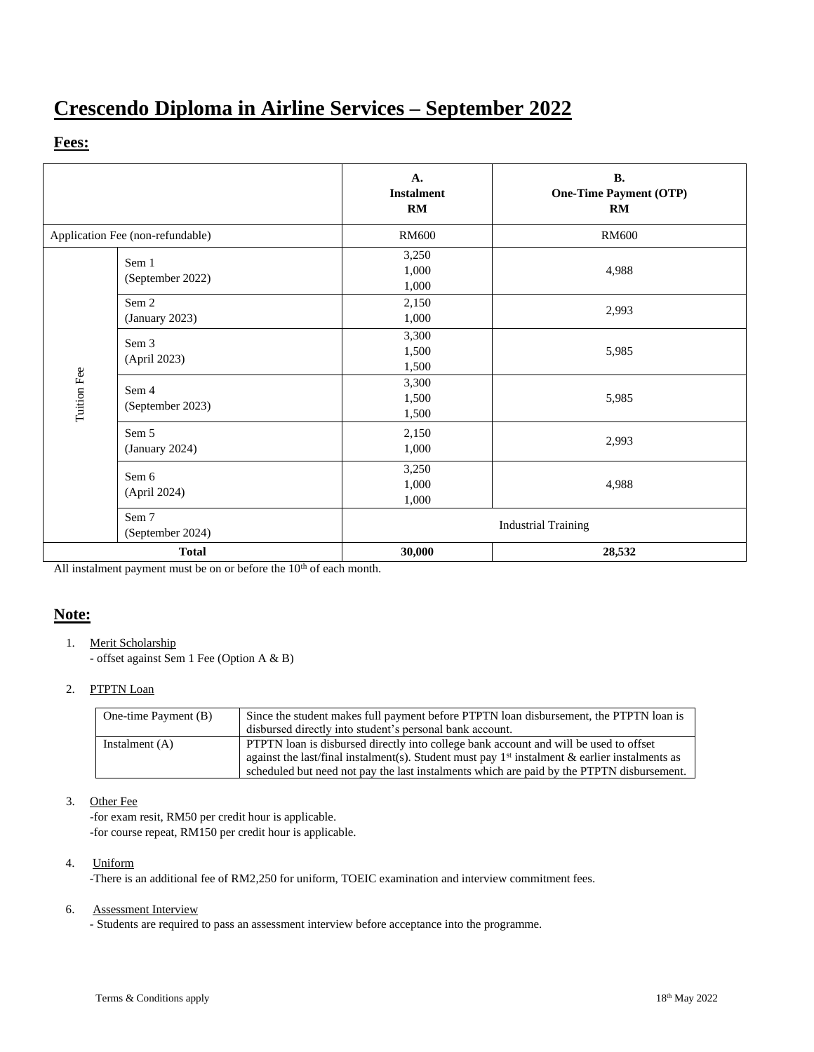# **Crescendo Diploma in Airline Services – September 2022**

### **Fees:**

|                                  |                           | A.<br><b>Instalment</b><br>RM | <b>B.</b><br><b>One-Time Payment (OTP)</b><br>RM |
|----------------------------------|---------------------------|-------------------------------|--------------------------------------------------|
| Application Fee (non-refundable) |                           | <b>RM600</b>                  | <b>RM600</b>                                     |
| Tuition Fee                      | Sem 1<br>(September 2022) | 3,250<br>1,000<br>1,000       | 4,988                                            |
|                                  | Sem 2<br>(January 2023)   | 2,150<br>1,000                | 2,993                                            |
|                                  | Sem 3<br>(April 2023)     | 3,300<br>1,500<br>1,500       | 5,985                                            |
|                                  | Sem 4<br>(September 2023) | 3,300<br>1,500<br>1,500       | 5,985                                            |
|                                  | Sem 5<br>(January 2024)   | 2,150<br>1,000                | 2,993                                            |
|                                  | Sem 6<br>(April 2024)     | 3,250<br>1,000<br>1,000       | 4,988                                            |
|                                  | Sem 7<br>(September 2024) |                               | <b>Industrial Training</b>                       |
| <b>Total</b>                     |                           | 30,000                        | 28,532                                           |

All instalment payment must be on or before the  $10<sup>th</sup>$  of each month.

## **Note:**

1. Merit Scholarship

- offset against Sem 1 Fee (Option A & B)

#### 2. PTPTN Loan

| One-time Payment (B) | Since the student makes full payment before PTPTN loan disbursement, the PTPTN loan is                     |  |  |
|----------------------|------------------------------------------------------------------------------------------------------------|--|--|
|                      | disbursed directly into student's personal bank account.                                                   |  |  |
| Instalment $(A)$     | <b>PTPTN</b> loan is disbursed directly into college bank account and will be used to offset               |  |  |
|                      | against the last/final instalment(s). Student must pay 1 <sup>st</sup> instalment & earlier instalments as |  |  |
|                      | scheduled but need not pay the last instalments which are paid by the PTPTN disbursement.                  |  |  |

#### 3. Other Fee

-for exam resit, RM50 per credit hour is applicable. -for course repeat, RM150 per credit hour is applicable.

#### 4. Uniform

-There is an additional fee of RM2,250 for uniform, TOEIC examination and interview commitment fees.

#### 6. Assessment Interview

- Students are required to pass an assessment interview before acceptance into the programme.